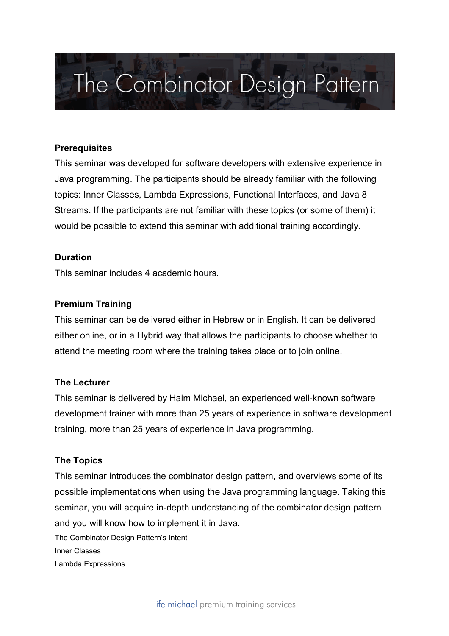# The Combinator Design Pattern

## **Prerequisites**

This seminar was developed for software developers with extensive experience in Java programming. The participants should be already familiar with the following topics: Inner Classes, Lambda Expressions, Functional Interfaces, and Java 8 Streams. If the participants are not familiar with these topics (or some of them) it would be possible to extend this seminar with additional training accordingly.

## **Duration**

This seminar includes 4 academic hours.

## **Premium Training**

This seminar can be delivered either in Hebrew or in English. It can be delivered either online, or in a Hybrid way that allows the participants to choose whether to attend the meeting room where the training takes place or to join online.

#### **The Lecturer**

This seminar is delivered by Haim Michael, an experienced well-known software development trainer with more than 25 years of experience in software development training, more than 25 years of experience in Java programming.

#### **The Topics**

This seminar introduces the combinator design pattern, and overviews some of its possible implementations when using the Java programming language. Taking this seminar, you will acquire in-depth understanding of the combinator design pattern and you will know how to implement it in Java.

The Combinator Design Pattern's Intent Inner Classes Lambda Expressions